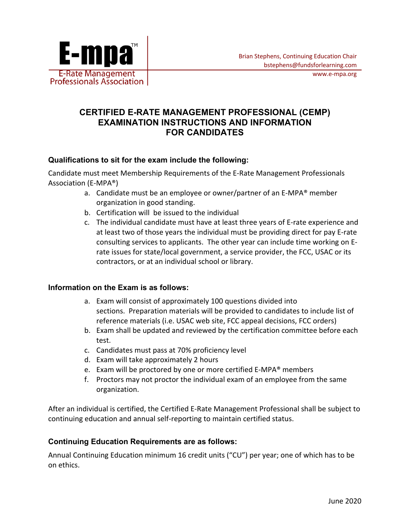

## **CERTIFIED E-RATE MANAGEMENT PROFESSIONAL (CEMP) EXAMINATION INSTRUCTIONS AND INFORMATION FOR CANDIDATES**

### **Qualifications to sit for the exam include the following:**

Candidate must meet Membership Requirements of the E-Rate Management Professionals Association (E-MPA®)

- a. Candidate must be an employee or owner/partner of an E-MPA® member organization in good standing.
- b. Certification will be issued to the individual
- c. The individual candidate must have at least three years of E-rate experience and at least two of those years the individual must be providing direct for pay E-rate consulting services to applicants. The other year can include time working on Erate issues for state/local government, a service provider, the FCC, USAC or its contractors, or at an individual school or library.

#### **Information on the Exam is as follows:**

- a. Exam will consist of approximately 100 questions divided into sections. Preparation materials will be provided to candidates to include list of reference materials (i.e. USAC web site, FCC appeal decisions, FCC orders)
- b. Exam shall be updated and reviewed by the certification committee before each test.
- c. Candidates must pass at 70% proficiency level
- d. Exam will take approximately 2 hours
- e. Exam will be proctored by one or more certified E-MPA® members
- f. Proctors may not proctor the individual exam of an employee from the same organization.

After an individual is certified, the Certified E-Rate Management Professional shall be subject to continuing education and annual self-reporting to maintain certified status.

## **Continuing Education Requirements are as follows:**

Annual Continuing Education minimum 16 credit units ("CU") per year; one of which has to be on ethics.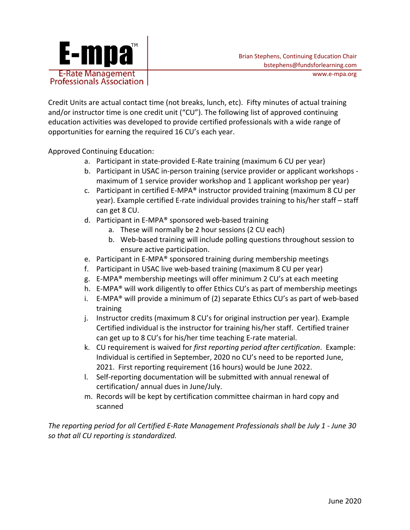

Credit Units are actual contact time (not breaks, lunch, etc). Fifty minutes of actual training and/or instructor time is one credit unit ("CU"). The following list of approved continuing education activities was developed to provide certified professionals with a wide range of opportunities for earning the required 16 CU's each year.

Approved Continuing Education:

- a. Participant in state-provided E-Rate training (maximum 6 CU per year)
- b. Participant in USAC in-person training (service provider or applicant workshops maximum of 1 service provider workshop and 1 applicant workshop per year)
- c. Participant in certified E-MPA® instructor provided training (maximum 8 CU per year). Example certified E-rate individual provides training to his/her staff – staff can get 8 CU.
- d. Participant in E-MPA® sponsored web-based training
	- a. These will normally be 2 hour sessions (2 CU each)
	- b. Web-based training will include polling questions throughout session to ensure active participation.
- e. Participant in E-MPA® sponsored training during membership meetings
- f. Participant in USAC live web-based training (maximum 8 CU per year)
- g. E-MPA® membership meetings will offer minimum 2 CU's at each meeting
- h. E-MPA® will work diligently to offer Ethics CU's as part of membership meetings
- i. E-MPA® will provide a minimum of (2) separate Ethics CU's as part of web-based training
- j. Instructor credits (maximum 8 CU's for original instruction per year). Example Certified individual is the instructor for training his/her staff. Certified trainer can get up to 8 CU's for his/her time teaching E-rate material.
- k. CU requirement is waived for *first reporting period after certification*. Example: Individual is certified in September, 2020 no CU's need to be reported June, 2021. First reporting requirement (16 hours) would be June 2022.
- l. Self-reporting documentation will be submitted with annual renewal of certification/ annual dues in June/July.
- m. Records will be kept by certification committee chairman in hard copy and scanned

*The reporting period for all Certified E-Rate Management Professionals shall be July 1 - June 30 so that all CU reporting is standardized.*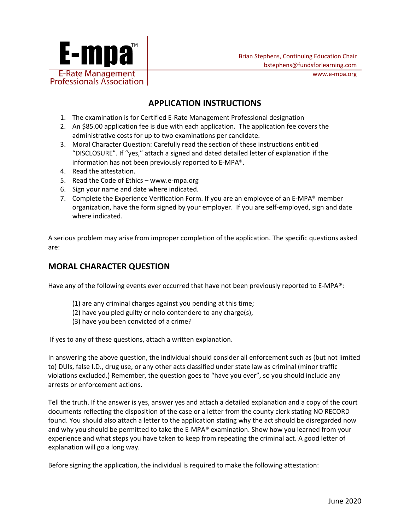

# **APPLICATION INSTRUCTIONS**

- 1. The examination is for Certified E-Rate Management Professional designation
- 2. An \$85.00 application fee is due with each application. The application fee covers the administrative costs for up to two examinations per candidate.
- 3. Moral Character Question: Carefully read the section of these instructions entitled "DISCLOSURE". If "yes," attach a signed and dated detailed letter of explanation if the information has not been previously reported to E-MPA®.
- 4. Read the attestation.
- 5. Read the Code of Ethics www.e-mpa.org
- 6. Sign your name and date where indicated.
- 7. Complete the Experience Verification Form. If you are an employee of an E-MPA® member organization, have the form signed by your employer. If you are self-employed, sign and date where indicated.

A serious problem may arise from improper completion of the application. The specific questions asked are:

### **MORAL CHARACTER QUESTION**

Have any of the following events ever occurred that have not been previously reported to E-MPA®:

- (1) are any criminal charges against you pending at this time;
- (2) have you pled guilty or nolo contendere to any charge(s),
- (3) have you been convicted of a crime?

If yes to any of these questions, attach a written explanation.

In answering the above question, the individual should consider all enforcement such as (but not limited to) DUIs, false I.D., drug use, or any other acts classified under state law as criminal (minor traffic violations excluded.) Remember, the question goes to "have you ever", so you should include any arrests or enforcement actions.

Tell the truth. If the answer is yes, answer yes and attach a detailed explanation and a copy of the court documents reflecting the disposition of the case or a letter from the county clerk stating NO RECORD found. You should also attach a letter to the application stating why the act should be disregarded now and why you should be permitted to take the E-MPA® examination. Show how you learned from your experience and what steps you have taken to keep from repeating the criminal act. A good letter of explanation will go a long way.

Before signing the application, the individual is required to make the following attestation: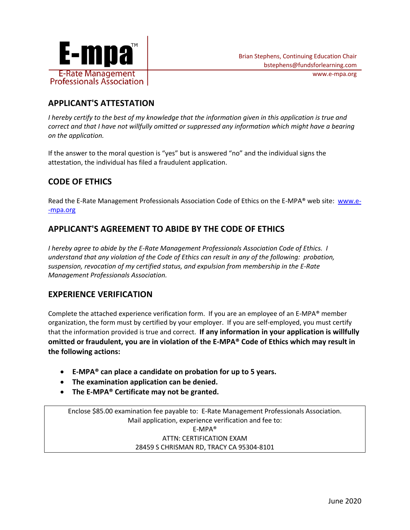

# **APPLICANT'S ATTESTATION**

*I hereby certify to the best of my knowledge that the information given in this application is true and correct and that I have not willfully omitted or suppressed any information which might have a bearing on the application.* 

If the answer to the moral question is "yes" but is answered "no" and the individual signs the attestation, the individual has filed a fraudulent application.

# **CODE OF ETHICS**

Read the E-Rate Management Professionals Association Code of Ethics on the E-MPA® web site: www.e- -mpa.org

# **APPLICANT'S AGREEMENT TO ABIDE BY THE CODE OF ETHICS**

*I hereby agree to abide by the E-Rate Management Professionals Association Code of Ethics. I understand that any violation of the Code of Ethics can result in any of the following: probation, suspension, revocation of my certified status, and expulsion from membership in the E-Rate Management Professionals Association.*

## **EXPERIENCE VERIFICATION**

Complete the attached experience verification form. If you are an employee of an E-MPA® member organization, the form must by certified by your employer. If you are self-employed, you must certify that the information provided is true and correct. **If any information in your application is willfully omitted or fraudulent, you are in violation of the E-MPA® Code of Ethics which may result in the following actions:**

- **E-MPA® can place a candidate on probation for up to 5 years.**
- **The examination application can be denied.**
- **The E-MPA® Certificate may not be granted.**

Enclose \$85.00 examination fee payable to: E-Rate Management Professionals Association. Mail application, experience verification and fee to: E-MPA® ATTN: CERTIFICATION EXAM 28459 S CHRISMAN RD, TRACY CA 95304-8101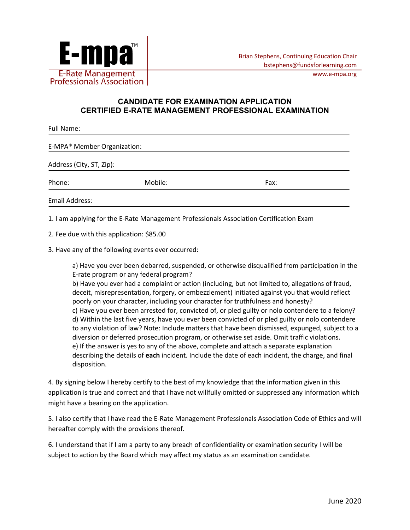

#### **CANDIDATE FOR EXAMINATION APPLICATION CERTIFIED E-RATE MANAGEMENT PROFESSIONAL EXAMINATION**

| <b>Full Name:</b>                       |         |      |  |  |  |
|-----------------------------------------|---------|------|--|--|--|
| E-MPA <sup>®</sup> Member Organization: |         |      |  |  |  |
| Address (City, ST, Zip):                |         |      |  |  |  |
| Phone:                                  | Mobile: | Fax: |  |  |  |
| <b>Email Address:</b>                   |         |      |  |  |  |

1. I am applying for the E-Rate Management Professionals Association Certification Exam

2. Fee due with this application: \$85.00

3. Have any of the following events ever occurred:

a) Have you ever been debarred, suspended, or otherwise disqualified from participation in the E-rate program or any federal program?

b) Have you ever had a complaint or action (including, but not limited to, allegations of fraud, deceit, misrepresentation, forgery, or embezzlement) initiated against you that would reflect poorly on your character, including your character for truthfulness and honesty? c) Have you ever been arrested for, convicted of, or pled guilty or nolo contendere to a felony? d) Within the last five years, have you ever been convicted of or pled guilty or nolo contendere to any violation of law? Note: Include matters that have been dismissed, expunged, subject to a diversion or deferred prosecution program, or otherwise set aside. Omit traffic violations. e) If the answer is yes to any of the above, complete and attach a separate explanation describing the details of **each** incident. Include the date of each incident, the charge, and final disposition.

4. By signing below I hereby certify to the best of my knowledge that the information given in this application is true and correct and that I have not willfully omitted or suppressed any information which might have a bearing on the application.

5. I also certify that I have read the E-Rate Management Professionals Association Code of Ethics and will hereafter comply with the provisions thereof.

6. I understand that if I am a party to any breach of confidentiality or examination security I will be subject to action by the Board which may affect my status as an examination candidate.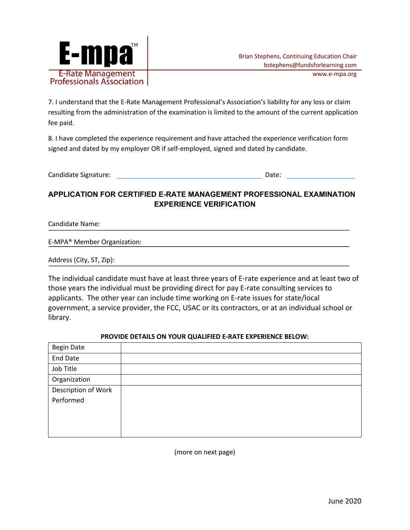

7. I understand that the E-Rate Management Professional's Association's liability for any loss or claim resulting from the administration of the examination is limited to the amount of the current application fee paid.

8. I have completed the experience requirement and have attached the experience verification form signed and dated by my employer OR if self-employed, signed and dated by candidate.

Candidate Signature: Date:

### **APPLICATION FOR CERTIFIED E-RATE MANAGEMENT PROFESSIONAL EXAMINATION EXPERIENCE VERIFICATION**

Candidate Name:

E-MPA® Member Organization:

Address (City, ST, Zip):

The individual candidate must have at least three years of E-rate experience and at least two of those years the individual must be providing direct for pay E-rate consulting services to applicants. The other year can include time working on E-rate issues for state/local government, a service provider, the FCC, USAC or its contractors, or at an individual school or library.

#### **PROVIDE DETAILS ON YOUR QUALIFIED E-RATE EXPERIENCE BELOW:**

| <b>Begin Date</b>   |  |
|---------------------|--|
| <b>End Date</b>     |  |
| Job Title           |  |
| Organization        |  |
| Description of Work |  |
| Performed           |  |
|                     |  |
|                     |  |
|                     |  |

(more on next page)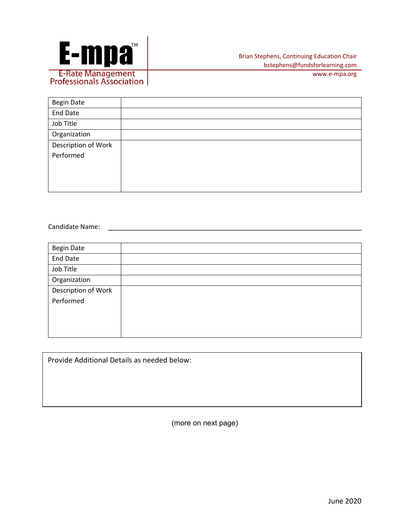

| <b>Begin Date</b>   |  |
|---------------------|--|
| <b>End Date</b>     |  |
| Job Title           |  |
| Organization        |  |
| Description of Work |  |
| Performed           |  |
|                     |  |
|                     |  |
|                     |  |

Candidate Name:

| <b>Begin Date</b>   |  |
|---------------------|--|
| <b>End Date</b>     |  |
| Job Title           |  |
| Organization        |  |
| Description of Work |  |
| Performed           |  |
|                     |  |
|                     |  |
|                     |  |

Provide Additional Details as needed below:

(more on next page)